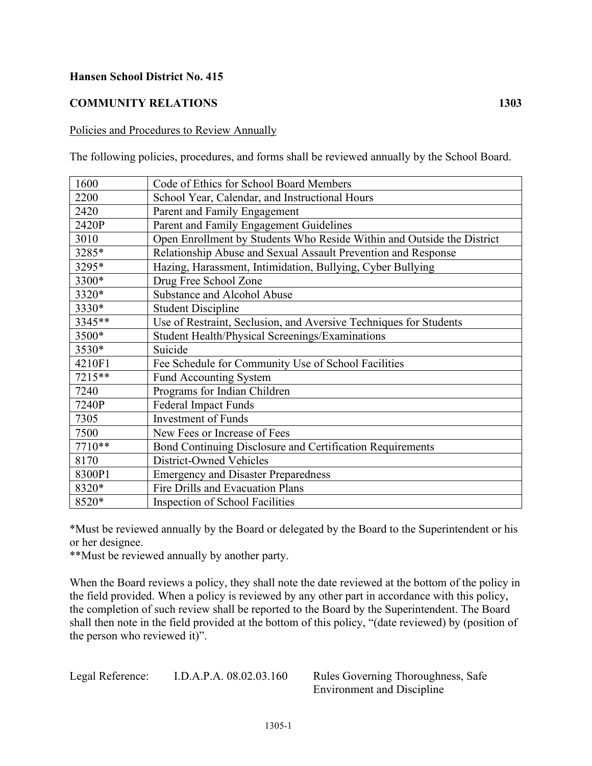## **Hansen School District No. 415**

## **COMMUNITY RELATIONS 1303**

## Policies and Procedures to Review Annually

The following policies, procedures, and forms shall be reviewed annually by the School Board.

| 1600   | Code of Ethics for School Board Members                                |
|--------|------------------------------------------------------------------------|
| 2200   | School Year, Calendar, and Instructional Hours                         |
| 2420   | Parent and Family Engagement                                           |
| 2420P  | Parent and Family Engagement Guidelines                                |
| 3010   | Open Enrollment by Students Who Reside Within and Outside the District |
| 3285*  | Relationship Abuse and Sexual Assault Prevention and Response          |
| 3295*  | Hazing, Harassment, Intimidation, Bullying, Cyber Bullying             |
| 3300*  | Drug Free School Zone                                                  |
| 3320*  | Substance and Alcohol Abuse                                            |
| 3330*  | <b>Student Discipline</b>                                              |
| 3345** | Use of Restraint, Seclusion, and Aversive Techniques for Students      |
| 3500*  | Student Health/Physical Screenings/Examinations                        |
| 3530*  | Suicide                                                                |
| 4210F1 | Fee Schedule for Community Use of School Facilities                    |
| 7215** | <b>Fund Accounting System</b>                                          |
| 7240   | Programs for Indian Children                                           |
| 7240P  | <b>Federal Impact Funds</b>                                            |
| 7305   | <b>Investment of Funds</b>                                             |
| 7500   | New Fees or Increase of Fees                                           |
| 7710** | Bond Continuing Disclosure and Certification Requirements              |
| 8170   | District-Owned Vehicles                                                |
| 8300P1 | <b>Emergency and Disaster Preparedness</b>                             |
| 8320*  | Fire Drills and Evacuation Plans                                       |
| 8520*  | Inspection of School Facilities                                        |

\*Must be reviewed annually by the Board or delegated by the Board to the Superintendent or his or her designee.

\*\*Must be reviewed annually by another party.

When the Board reviews a policy, they shall note the date reviewed at the bottom of the policy in the field provided. When a policy is reviewed by any other part in accordance with this policy, the completion of such review shall be reported to the Board by the Superintendent. The Board shall then note in the field provided at the bottom of this policy, "(date reviewed) by (position of the person who reviewed it)".

Legal Reference: I.D.A.P.A. 08.02.03.160 Rules Governing Thoroughness, Safe

Environment and Discipline